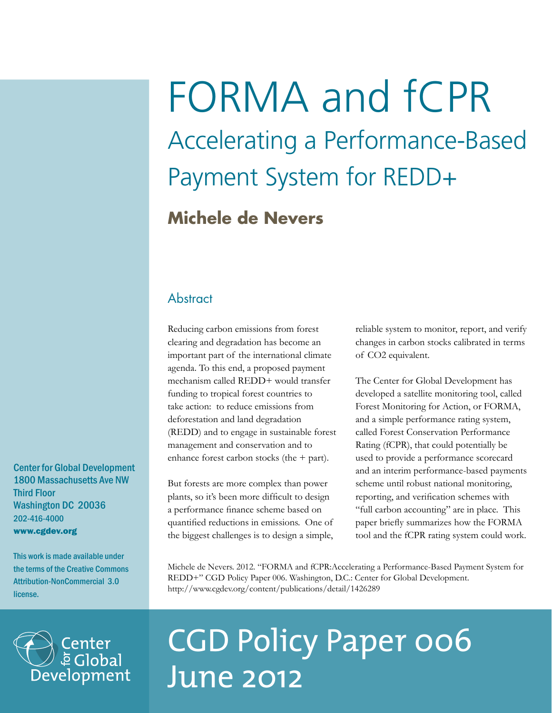# FORMA and fCPR Accelerating a Performance-Based Payment System for REDD+

## **Michele de Nevers**

### **Abstract**

Reducing carbon emissions from forest clearing and degradation has become an important part of the international climate agenda. To this end, a proposed payment mechanism called REDD+ would transfer funding to tropical forest countries to take action: to reduce emissions from deforestation and land degradation (REDD) and to engage in sustainable forest management and conservation and to enhance forest carbon stocks (the + part).

But forests are more complex than power plants, so it's been more difficult to design a performance finance scheme based on quantified reductions in emissions. One of the biggest challenges is to design a simple, reliable system to monitor, report, and verify changes in carbon stocks calibrated in terms of CO2 equivalent.

The Center for Global Development has developed a satellite monitoring tool, called Forest Monitoring for Action, or FORMA, and a simple performance rating system, called Forest Conservation Performance Rating (fCPR), that could potentially be used to provide a performance scorecard and an interim performance-based payments scheme until robust national monitoring, reporting, and verification schemes with "full carbon accounting" are in place. This paper briefly summarizes how the FORMA tool and the fCPR rating system could work.

Michele de Nevers. 2012. "FORMA and fCPR:Accelerating a Performance-Based Payment System for REDD+" CGD Policy Paper 006. Washington, D.C.: Center for Global Development. http://www.cgdev.org/content/publications/detail/1426289



## CGD Policy Paper 006 June 2012

Center for Global Development 1800 Massachusetts Ave NW Third Floor Washington DC 20036 202-416-4000 www.cgdev.org

This work is made available under the terms of the Creative Commons Attribution-NonCommercial 3.0 license.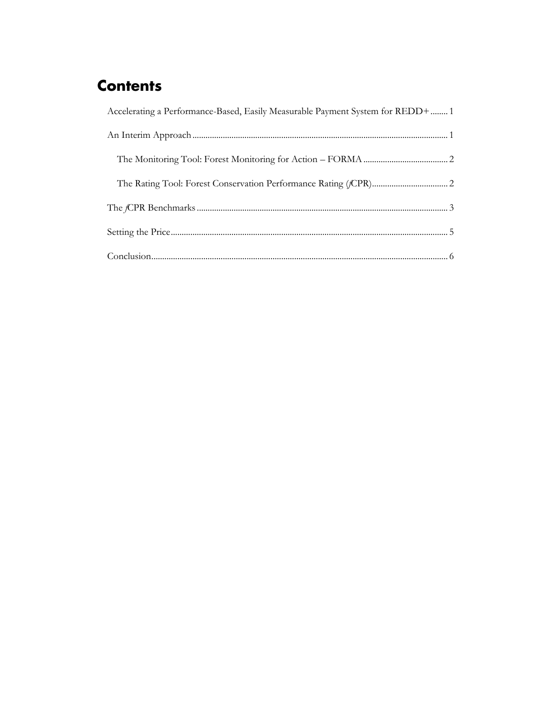## **Contents**

| Accelerating a Performance-Based, Easily Measurable Payment System for REDD+  1 |  |
|---------------------------------------------------------------------------------|--|
|                                                                                 |  |
|                                                                                 |  |
|                                                                                 |  |
|                                                                                 |  |
|                                                                                 |  |
|                                                                                 |  |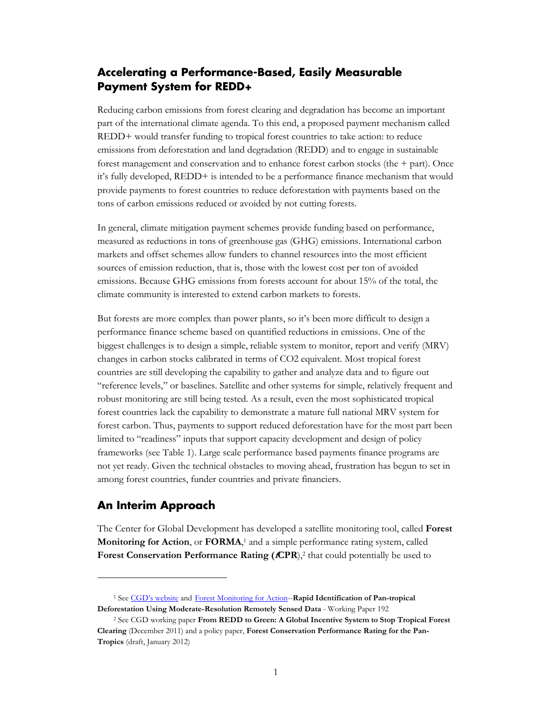#### <span id="page-2-0"></span>**Accelerating a Performance-Based, Easily Measurable Payment System for REDD+**

Reducing carbon emissions from forest clearing and degradation has become an important part of the international climate agenda. To this end, a proposed payment mechanism called REDD+ would transfer funding to tropical forest countries to take action: to reduce emissions from deforestation and land degradation (REDD) and to engage in sustainable forest management and conservation and to enhance forest carbon stocks (the + part). Once it's fully developed, REDD+ is intended to be a performance finance mechanism that would provide payments to forest countries to reduce deforestation with payments based on the tons of carbon emissions reduced or avoided by not cutting forests.

In general, climate mitigation payment schemes provide funding based on performance, measured as reductions in tons of greenhouse gas (GHG) emissions. International carbon markets and offset schemes allow funders to channel resources into the most efficient sources of emission reduction, that is, those with the lowest cost per ton of avoided emissions. Because GHG emissions from forests account for about 15% of the total, the climate community is interested to extend carbon markets to forests.

But forests are more complex than power plants, so it's been more difficult to design a performance finance scheme based on quantified reductions in emissions. One of the biggest challenges is to design a simple, reliable system to monitor, report and verify (MRV) changes in carbon stocks calibrated in terms of CO2 equivalent. Most tropical forest countries are still developing the capability to gather and analyze data and to figure out "reference levels," or baselines. Satellite and other systems for simple, relatively frequent and robust monitoring are still being tested. As a result, even the most sophisticated tropical forest countries lack the capability to demonstrate a mature full national MRV system for forest carbon. Thus, payments to support reduced deforestation have for the most part been limited to "readiness" inputs that support capacity development and design of policy frameworks (see Table 1). Large scale performance based payments finance programs are not yet ready. Given the technical obstacles to moving ahead, frustration has begun to set in among forest countries, funder countries and private financiers.

#### <span id="page-2-1"></span>**An Interim Approach**

 $\overline{a}$ 

The Center for Global Development has developed a satellite monitoring tool, called **Forest Monitoring for Action**, or **FORMA**, <sup>1</sup> and a simple performance rating system, called Forest Conservation Performance Rating (*fCPR*),<sup>2</sup> that could potentially be used to

<sup>1</sup> See [CGD's website](http://www.cgdev.org/section/initiatives/_active/forestmonitoringforactionforma) and [Forest Monitoring for Action-](http://www.cgdev.org/files/1423248_file_Hammer_Kraft_Wheeler_FORMA_FINAL.pdf)-**Rapid Identification of Pan-tropical Deforestation Using Moderate-Resolution Remotely Sensed Data** - Working Paper 192

<sup>2</sup> See CGD working paper **From REDD to Green: A Global Incentive System to Stop Tropical Forest Clearing** (December 2011) and a policy paper, **Forest Conservation Performance Rating for the Pan-Tropics** (draft, January 2012)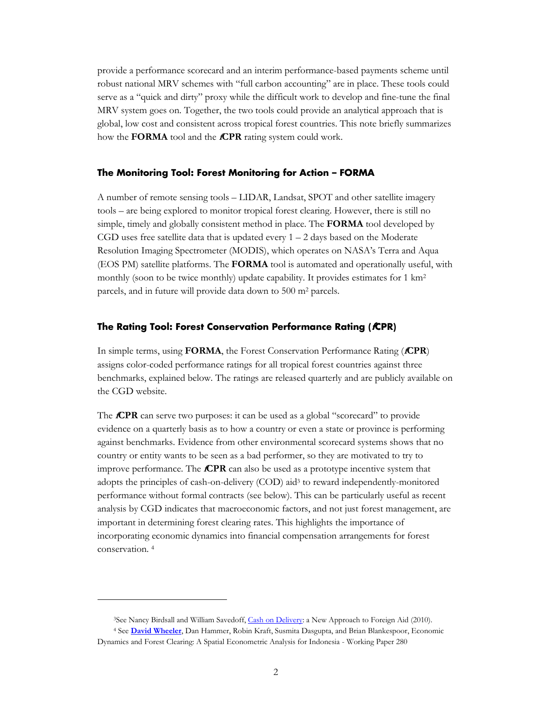provide a performance scorecard and an interim performance-based payments scheme until robust national MRV schemes with "full carbon accounting" are in place. These tools could serve as a "quick and dirty" proxy while the difficult work to develop and fine-tune the final MRV system goes on. Together, the two tools could provide an analytical approach that is global, low cost and consistent across tropical forest countries. This note briefly summarizes how the **FORMA** tool and the **fCPR** rating system could work.

#### <span id="page-3-0"></span>**The Monitoring Tool: Forest Monitoring for Action – FORMA**

A number of remote sensing tools – LIDAR, Landsat, SPOT and other satellite imagery tools – are being explored to monitor tropical forest clearing. However, there is still no simple, timely and globally consistent method in place. The **FORMA** tool developed by CGD uses free satellite data that is updated every  $1 - 2$  days based on the Moderate Resolution Imaging Spectrometer (MODIS), which operates on NASA's Terra and Aqua (EOS PM) satellite platforms. The **FORMA** tool is automated and operationally useful, with monthly (soon to be twice monthly) update capability. It provides estimates for 1 km<sup>2</sup> parcels, and in future will provide data down to 500 m<sup>2</sup> parcels.

#### <span id="page-3-1"></span>**The Rating Tool: Forest Conservation Performance Rating (fCPR)**

In simple terms, using **FORMA**, the Forest Conservation Performance Rating (**fCPR**) assigns color-coded performance ratings for all tropical forest countries against three benchmarks, explained below. The ratings are released quarterly and are publicly available on the CGD website.

The **fCPR** can serve two purposes: it can be used as a global "scorecard" to provide evidence on a quarterly basis as to how a country or even a state or province is performing against benchmarks. Evidence from other environmental scorecard systems shows that no country or entity wants to be seen as a bad performer, so they are motivated to try to improve performance. The **fCPR** can also be used as a prototype incentive system that adopts the principles of cash-on-delivery (COD) aid<sup>3</sup> to reward independently-monitored performance without formal contracts (see below). This can be particularly useful as recent analysis by CGD indicates that macroeconomic factors, and not just forest management, are important in determining forest clearing rates. This highlights the importance of incorporating economic dynamics into financial compensation arrangements for forest conservation. <sup>4</sup>

 $\ddot{\phantom{a}}$ 

<sup>&</sup>lt;sup>3</sup>See Nancy Birdsall and William Savedoff, [Cash on Delivery:](http://www.cgdev.org/section/initiatives/_active/codaid) a New Approach to Foreign Aid (2010).

<sup>4</sup> See **[David Wheeler](http://www.cgdev.org/content/expert/detail/11584)**, Dan Hammer, Robin Kraft, Susmita Dasgupta, and Brian Blankespoor, Economic Dynamics and Forest Clearing: A Spatial Econometric Analysis for Indonesia - Working Paper 280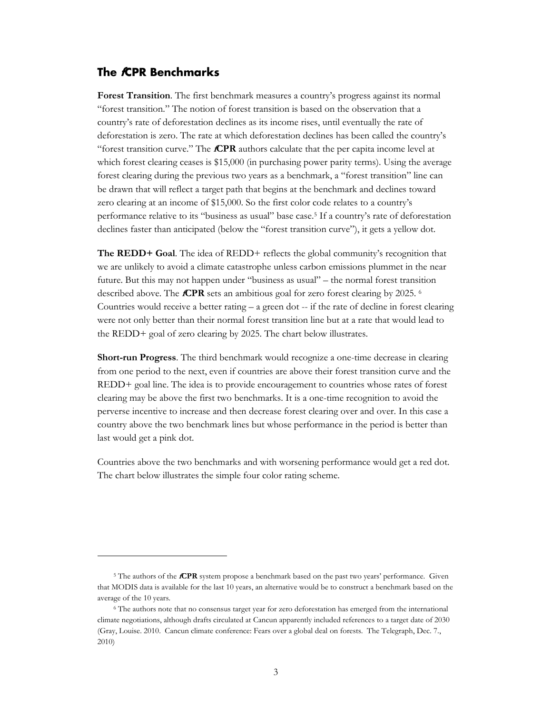#### <span id="page-4-0"></span>**The fCPR Benchmarks**

 $\overline{a}$ 

**Forest Transition**. The first benchmark measures a country's progress against its normal "forest transition." The notion of forest transition is based on the observation that a country's rate of deforestation declines as its income rises, until eventually the rate of deforestation is zero. The rate at which deforestation declines has been called the country's "forest transition curve." The **fCPR** authors calculate that the per capita income level at which forest clearing ceases is \$15,000 (in purchasing power parity terms). Using the average forest clearing during the previous two years as a benchmark, a "forest transition" line can be drawn that will reflect a target path that begins at the benchmark and declines toward zero clearing at an income of \$15,000. So the first color code relates to a country's performance relative to its "business as usual" base case.<sup>5</sup> If a country's rate of deforestation declines faster than anticipated (below the "forest transition curve"), it gets a yellow dot.

**The REDD+ Goal.** The idea of REDD+ reflects the global community's recognition that we are unlikely to avoid a climate catastrophe unless carbon emissions plummet in the near future. But this may not happen under "business as usual" – the normal forest transition described above. The **fCPR** sets an ambitious goal for zero forest clearing by 2025. <sup>6</sup> Countries would receive a better rating – a green dot -- if the rate of decline in forest clearing were not only better than their normal forest transition line but at a rate that would lead to the REDD+ goal of zero clearing by 2025. The chart below illustrates.

**Short-run Progress**. The third benchmark would recognize a one-time decrease in clearing from one period to the next, even if countries are above their forest transition curve and the REDD+ goal line. The idea is to provide encouragement to countries whose rates of forest clearing may be above the first two benchmarks. It is a one-time recognition to avoid the perverse incentive to increase and then decrease forest clearing over and over. In this case a country above the two benchmark lines but whose performance in the period is better than last would get a pink dot.

Countries above the two benchmarks and with worsening performance would get a red dot. The chart below illustrates the simple four color rating scheme.

<sup>5</sup> The authors of the **fCPR** system propose a benchmark based on the past two years' performance. Given that MODIS data is available for the last 10 years, an alternative would be to construct a benchmark based on the average of the 10 years.

<sup>6</sup> The authors note that no consensus target year for zero deforestation has emerged from the international climate negotiations, although drafts circulated at Cancun apparently included references to a target date of 2030 (Gray, Louise. 2010. Cancun climate conference: Fears over a global deal on forests. The Telegraph, Dec. 7., 2010)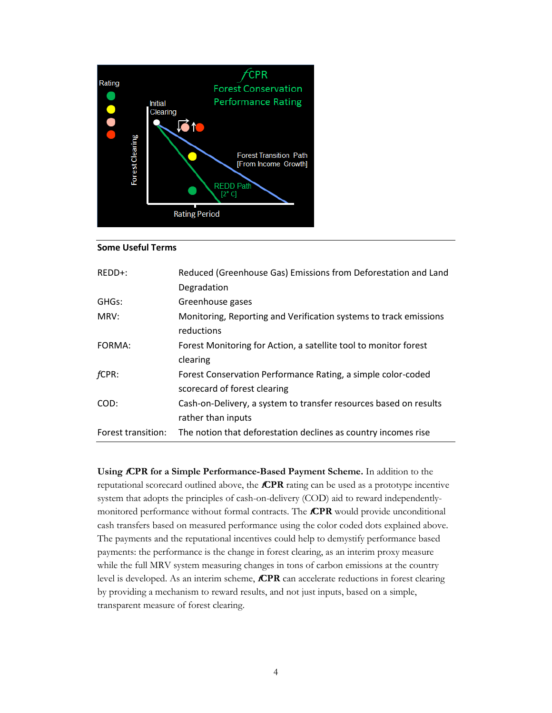

#### **Some Useful Terms**

| $REDD+$ :          | Reduced (Greenhouse Gas) Emissions from Deforestation and Land    |  |  |  |  |
|--------------------|-------------------------------------------------------------------|--|--|--|--|
|                    | Degradation                                                       |  |  |  |  |
| GHGs:              | Greenhouse gases                                                  |  |  |  |  |
| MRV:               | Monitoring, Reporting and Verification systems to track emissions |  |  |  |  |
|                    | reductions                                                        |  |  |  |  |
| FORMA:             | Forest Monitoring for Action, a satellite tool to monitor forest  |  |  |  |  |
|                    | clearing                                                          |  |  |  |  |
| fCPR:              | Forest Conservation Performance Rating, a simple color-coded      |  |  |  |  |
|                    | scorecard of forest clearing                                      |  |  |  |  |
| COD:               | Cash-on-Delivery, a system to transfer resources based on results |  |  |  |  |
|                    | rather than inputs                                                |  |  |  |  |
| Forest transition: | The notion that deforestation declines as country incomes rise    |  |  |  |  |

**Using fCPR for a Simple Performance-Based Payment Scheme.** In addition to the reputational scorecard outlined above, the **fCPR** rating can be used as a prototype incentive system that adopts the principles of cash-on-delivery (COD) aid to reward independentlymonitored performance without formal contracts. The **fCPR** would provide unconditional cash transfers based on measured performance using the color coded dots explained above. The payments and the reputational incentives could help to demystify performance based payments: the performance is the change in forest clearing, as an interim proxy measure while the full MRV system measuring changes in tons of carbon emissions at the country level is developed. As an interim scheme, **fCPR** can accelerate reductions in forest clearing by providing a mechanism to reward results, and not just inputs, based on a simple, transparent measure of forest clearing.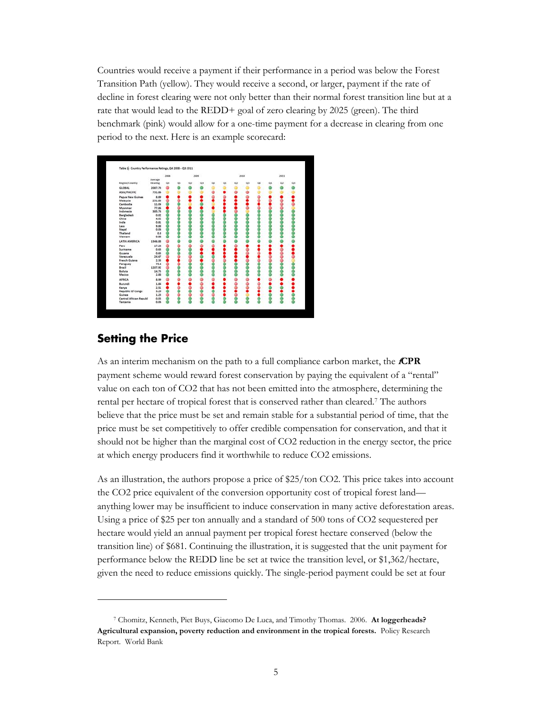Countries would receive a payment if their performance in a period was below the Forest Transition Path (yellow). They would receive a second, or larger, payment if the rate of decline in forest clearing were not only better than their normal forest transition line but at a rate that would lead to the REDD+ goal of zero clearing by 2025 (green). The third benchmark (pink) would allow for a one-time payment for a decrease in clearing from one period to the next. Here is an example scorecard:

|                        |          | 2008 |     |          | 3009 |    |    |    | 2010 |    |    | 2011 |    |
|------------------------|----------|------|-----|----------|------|----|----|----|------|----|----|------|----|
|                        | Average  |      |     |          |      |    |    |    |      |    |    |      |    |
| Region/Country         | Clearing | O4   | Q\$ | $\alpha$ | Q    | O4 | Q1 | üž | Q3   | Q4 | Q1 | Q2   | Q3 |
| <b>GLOBAL</b>          | 2087.73  |      |     |          |      |    |    |    |      |    |    |      |    |
| ASIA/PACIFIC           | 731.86   |      |     |          |      |    |    |    |      |    |    |      |    |
| Papua New Guinea       | 8.89     |      |     |          |      |    |    |    |      |    |    |      |    |
| Malaysia               | 231.83   |      |     |          |      |    |    |    |      |    |    |      |    |
| Cambodia               | 11.04    |      |     |          |      |    |    |    |      |    |    |      |    |
| Myanmar                | 77.86    |      |     |          |      |    |    |    |      |    |    |      |    |
| Indonesia              | 385.76   |      |     |          |      |    |    |    |      |    |    |      |    |
| <b>Bangladesh</b>      | 0.02     |      |     |          |      |    |    |    |      |    |    |      |    |
| China                  | 4.02     |      |     |          |      |    |    |    |      |    |    |      |    |
| India                  | 0.81     |      |     |          |      |    |    |    |      |    |    |      |    |
| Laos                   | 9.88     |      |     |          |      |    |    |    |      |    |    |      |    |
| Nepal                  | 0.06     |      |     |          |      |    |    |    |      |    |    |      |    |
| Thailand               | 0.8      |      |     |          |      |    |    |    |      |    |    |      |    |
| Vietnam                | 0.88     |      |     |          |      |    |    |    |      |    |    |      |    |
| LATIN AMERICA          | 1346.88  |      |     |          |      |    |    |    |      |    |    |      |    |
| Peru                   | 17.24    |      |     |          |      |    |    |    |      |    |    |      |    |
| Suriname               | 0.63     |      |     |          |      |    |    |    |      |    |    |      |    |
| Guyana                 | 0.65     |      |     |          |      |    |    |    |      |    |    |      |    |
| Venezuela              | 24.67    |      |     |          |      |    |    |    |      |    |    |      |    |
| French Guiana          | 2.83     |      |     |          |      |    |    |    |      |    |    |      |    |
| Paraguay               | 75.8     |      |     |          |      |    |    |    |      |    |    |      |    |
| Brazil                 | 1207.92  |      |     |          |      |    |    |    |      |    |    |      |    |
| Bolivia                | 14.75    |      |     |          |      |    |    |    |      |    |    |      |    |
| Mexico                 | 2.88     |      |     |          |      |    |    |    |      |    |    |      |    |
| <b>AFRICA</b>          | 8.99     |      |     |          |      |    |    |    |      |    |    |      |    |
| Burundi                | 1.84     |      |     |          |      |    |    |    |      |    |    |      |    |
| Kenya                  | 2.51     |      |     |          |      |    |    |    |      |    |    |      |    |
| Republic Of Congo      | 3.29     |      |     |          |      |    |    |    |      |    |    |      |    |
| Guinea                 | 1.23     |      |     |          |      |    |    |    |      |    |    |      |    |
| Central African Republ | 0.05     |      |     |          |      |    |    |    |      |    |    |      |    |
| Tanzania               | 0.06     |      |     |          |      |    |    |    |      |    |    |      |    |

#### <span id="page-6-0"></span>**Setting the Price**

 $\ddot{\phantom{a}}$ 

As an interim mechanism on the path to a full compliance carbon market, the **fCPR** payment scheme would reward forest conservation by paying the equivalent of a "rental" value on each ton of CO2 that has not been emitted into the atmosphere, determining the rental per hectare of tropical forest that is conserved rather than cleared.<sup>7</sup> The authors believe that the price must be set and remain stable for a substantial period of time, that the price must be set competitively to offer credible compensation for conservation, and that it should not be higher than the marginal cost of CO2 reduction in the energy sector, the price at which energy producers find it worthwhile to reduce CO2 emissions.

As an illustration, the authors propose a price of \$25/ton CO2. This price takes into account the CO2 price equivalent of the conversion opportunity cost of tropical forest land anything lower may be insufficient to induce conservation in many active deforestation areas. Using a price of \$25 per ton annually and a standard of 500 tons of CO2 sequestered per hectare would yield an annual payment per tropical forest hectare conserved (below the transition line) of \$681. Continuing the illustration, it is suggested that the unit payment for performance below the REDD line be set at twice the transition level, or \$1,362/hectare, given the need to reduce emissions quickly. The single-period payment could be set at four

<sup>7</sup> Chomitz, Kenneth, Piet Buys, Giacomo De Luca, and Timothy Thomas. 2006. **At loggerheads? Agricultural expansion, poverty reduction and environment in the tropical forests.** Policy Research Report. World Bank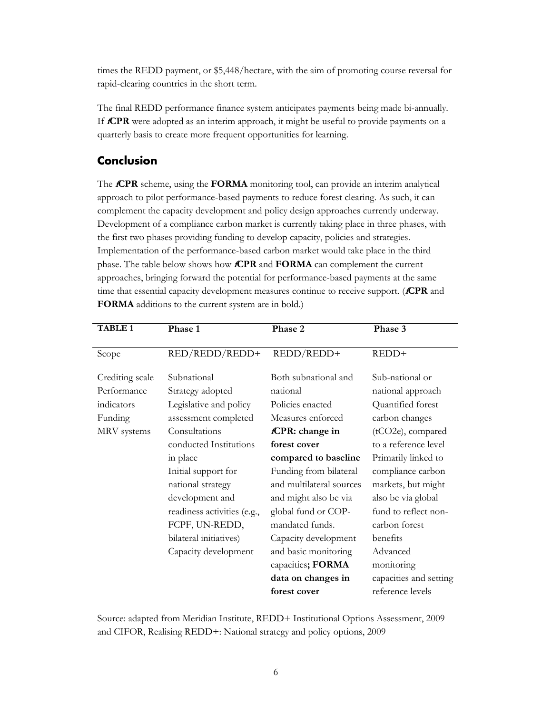times the REDD payment, or \$5,448/hectare, with the aim of promoting course reversal for rapid-clearing countries in the short term.

The final REDD performance finance system anticipates payments being made bi-annually. If **fCPR** were adopted as an interim approach, it might be useful to provide payments on a quarterly basis to create more frequent opportunities for learning.

#### <span id="page-7-0"></span>**Conclusion**

The **fCPR** scheme, using the **FORMA** monitoring tool, can provide an interim analytical approach to pilot performance-based payments to reduce forest clearing. As such, it can complement the capacity development and policy design approaches currently underway. Development of a compliance carbon market is currently taking place in three phases, with the first two phases providing funding to develop capacity, policies and strategies. Implementation of the performance-based carbon market would take place in the third phase. The table below shows how **fCPR** and **FORMA** can complement the current approaches, bringing forward the potential for performance-based payments at the same time that essential capacity development measures continue to receive support. (**fCPR** and **FORMA** additions to the current system are in bold.)

| <b>TABLE 1</b>  | Phase 1                     | Phase 2                  | Phase 3                |
|-----------------|-----------------------------|--------------------------|------------------------|
| Scope           | RED/REDD/REDD+              | REDD/REDD+               | REDD+                  |
| Crediting scale | Subnational                 | Both subnational and     | Sub-national or        |
| Performance     | Strategy adopted            | national                 | national approach      |
| indicators      | Legislative and policy      | Policies enacted         | Quantified forest      |
| Funding         | assessment completed        | Measures enforced        | carbon changes         |
| MRV systems     | Consultations               | fCPR: change in          | (tCO2e), compared      |
|                 | conducted Institutions      | forest cover             | to a reference level   |
|                 | in place                    | compared to baseline     | Primarily linked to    |
|                 | Initial support for         | Funding from bilateral   | compliance carbon      |
|                 | national strategy           | and multilateral sources | markets, but might     |
|                 | development and             | and might also be via    | also be via global     |
|                 | readiness activities (e.g., | global fund or COP-      | fund to reflect non-   |
|                 | FCPF, UN-REDD,              | mandated funds.          | carbon forest          |
|                 | bilateral initiatives)      | Capacity development     | benefits               |
|                 | Capacity development        | and basic monitoring     | Advanced               |
|                 |                             | capacities; FORMA        | monitoring             |
|                 |                             | data on changes in       | capacities and setting |
|                 |                             | forest cover             | reference levels       |

Source: adapted from Meridian Institute, REDD+ Institutional Options Assessment, 2009 and CIFOR, Realising REDD+: National strategy and policy options, 2009